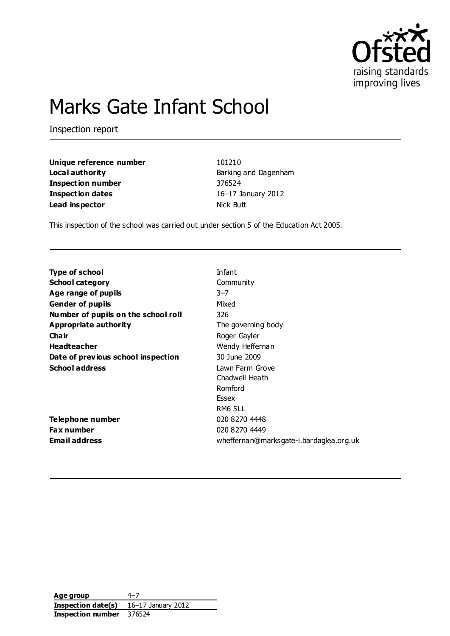

# Marks Gate Infant School

Inspection report

| Unique reference number  | 101210               |
|--------------------------|----------------------|
| Local authority          | Barking and Dagenham |
| <b>Inspection number</b> | 376524               |
| Inspection dates         | 16-17 January 2012   |
| Lead inspector           | Nick Butt            |

This inspection of the school was carried out under section 5 of the Education Act 2005.

| <b>Type of school</b>               | Infant                                  |
|-------------------------------------|-----------------------------------------|
| <b>School category</b>              | Community                               |
| Age range of pupils                 | $3 - 7$                                 |
| <b>Gender of pupils</b>             | Mixed                                   |
| Number of pupils on the school roll | 326                                     |
| Appropriate authority               | The governing body                      |
| Cha ir                              | Roger Gayler                            |
| <b>Headteacher</b>                  | Wendy Heffernan                         |
| Date of previous school inspection  | 30 June 2009                            |
| <b>School address</b>               | Lawn Farm Grove                         |
|                                     | Chadwell Heath                          |
|                                     | Romford                                 |
|                                     | Essex                                   |
|                                     | <b>RM6 5LL</b>                          |
| <b>Telephone number</b>             | 020 8270 4448                           |
| Fax number                          | 020 8270 4449                           |
| <b>Email address</b>                | wheffernan@marksgate-i.bardaglea.org.uk |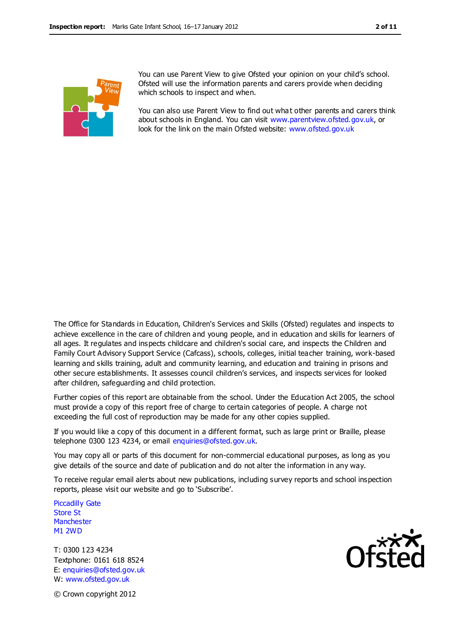

You can use Parent View to give Ofsted your opinion on your child's school. Ofsted will use the information parents and carers provide when deciding which schools to inspect and when.

You can also use Parent View to find out what other parents and carers think about schools in England. You can visit [www.parentview.ofsted.gov.uk,](http://www.parentview.ofsted.gov.uk/) or look for the link on the main Ofsted website: [www.ofsted.gov.uk](http://www.ofsted.gov.uk/)

The Office for Standards in Education, Children's Services and Skills (Ofsted) regulates and inspects to achieve excellence in the care of children and young people, and in education and skills for learners of all ages. It regulates and inspects childcare and children's social care, and inspects the Children and Family Court Advisory Support Service (Cafcass), schools, colleges, initial teacher training, work-based learning and skills training, adult and community learning, and education and training in prisons and other secure establishments. It assesses council children's services, and inspects services for looked after children, safeguarding and child protection.

Further copies of this report are obtainable from the school. Under the Education Act 2005, the school must provide a copy of this report free of charge to certain categories of people. A charge not exceeding the full cost of reproduction may be made for any other copies supplied.

If you would like a copy of this document in a different format, such as large print or Braille, please telephone 0300 123 4234, or email enquiries@ofsted.gov.uk.

You may copy all or parts of this document for non-commercial educational purposes, as long as you give details of the source and date of publication and do not alter the information in any way.

To receive regular email alerts about new publications, including survey reports and school inspection reports, please visit our website and go to 'Subscribe'.

Piccadilly Gate Store St **Manchester** M1 2WD

T: 0300 123 4234 Textphone: 0161 618 8524 E: enquiries@ofsted.gov.uk W: www.ofsted.gov.uk



© Crown copyright 2012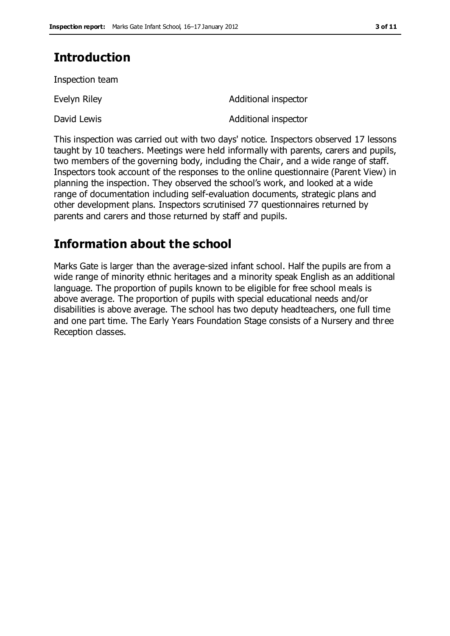### **Introduction**

Inspection team

Evelyn Riley

David Lewis

Additional inspector

Additional inspector

This inspection was carried out with two days' notice. Inspectors observed 17 lessons taught by 10 teachers. Meetings were held informally with parents, carers and pupils, two members of the governing body, including the Chair, and a wide range of staff. Inspectors took account of the responses to the online questionnaire (Parent View) in planning the inspection. They observed the school's work, and looked at a wide range of documentation including self-evaluation documents, strategic plans and other development plans. Inspectors scrutinised 77 questionnaires returned by parents and carers and those returned by staff and pupils.

### **Information about the school**

Marks Gate is larger than the average-sized infant school. Half the pupils are from a wide range of minority ethnic heritages and a minority speak English as an additional language. The proportion of pupils known to be eligible for free school meals is above average. The proportion of pupils with special educational needs and/or disabilities is above average. The school has two deputy headteachers, one full time and one part time. The Early Years Foundation Stage consists of a Nursery and three Reception classes.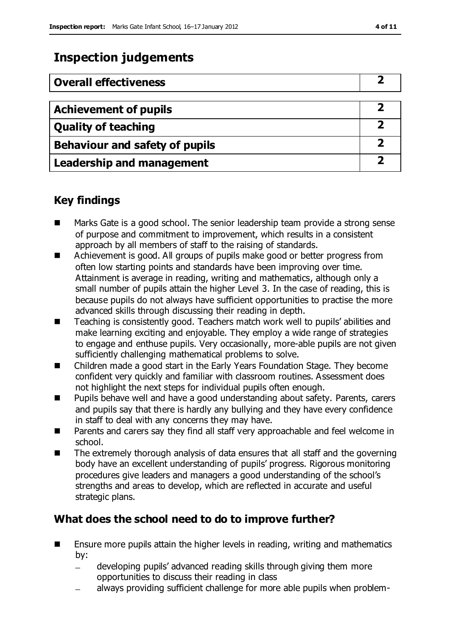### **Inspection judgements**

| <b>Overall effectiveness</b>          |  |
|---------------------------------------|--|
|                                       |  |
| <b>Achievement of pupils</b>          |  |
| <b>Quality of teaching</b>            |  |
| <b>Behaviour and safety of pupils</b> |  |
| <b>Leadership and management</b>      |  |

### **Key findings**

- Marks Gate is a good school. The senior leadership team provide a strong sense of purpose and commitment to improvement, which results in a consistent approach by all members of staff to the raising of standards.
- Achievement is good. All groups of pupils make good or better progress from often low starting points and standards have been improving over time. Attainment is average in reading, writing and mathematics, although only a small number of pupils attain the higher Level 3. In the case of reading, this is because pupils do not always have sufficient opportunities to practise the more advanced skills through discussing their reading in depth.
- Teaching is consistently good. Teachers match work well to pupils' abilities and make learning exciting and enjoyable. They employ a wide range of strategies to engage and enthuse pupils. Very occasionally, more-able pupils are not given sufficiently challenging mathematical problems to solve.
- Children made a good start in the Early Years Foundation Stage. They become confident very quickly and familiar with classroom routines. Assessment does not highlight the next steps for individual pupils often enough.
- Pupils behave well and have a good understanding about safety. Parents, carers and pupils say that there is hardly any bullying and they have every confidence in staff to deal with any concerns they may have.
- **Parents and carers say they find all staff very approachable and feel welcome in** school.
- The extremely thorough analysis of data ensures that all staff and the governing body have an excellent understanding of pupils' progress. Rigorous monitoring procedures give leaders and managers a good understanding of the school's strengths and areas to develop, which are reflected in accurate and useful strategic plans.

### **What does the school need to do to improve further?**

- **E** Ensure more pupils attain the higher levels in reading, writing and mathematics by:
	- developing pupils' advanced reading skills through giving them more opportunities to discuss their reading in class
	- always providing sufficient challenge for more able pupils when problem-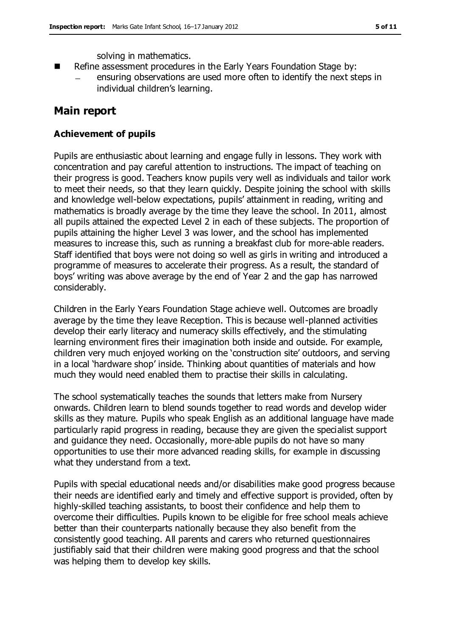solving in mathematics.

- Refine assessment procedures in the Early Years Foundation Stage by:
	- ensuring observations are used more often to identify the next steps in individual children's learning.

### **Main report**

#### **Achievement of pupils**

Pupils are enthusiastic about learning and engage fully in lessons. They work with concentration and pay careful attention to instructions. The impact of teaching on their progress is good. Teachers know pupils very well as individuals and tailor work to meet their needs, so that they learn quickly. Despite joining the school with skills and knowledge well-below expectations, pupils' attainment in reading, writing and mathematics is broadly average by the time they leave the school. In 2011, almost all pupils attained the expected Level 2 in each of these subjects. The proportion of pupils attaining the higher Level 3 was lower, and the school has implemented measures to increase this, such as running a breakfast club for more-able readers. Staff identified that boys were not doing so well as girls in writing and introduced a programme of measures to accelerate their progress. As a result, the standard of boys' writing was above average by the end of Year 2 and the gap has narrowed considerably.

Children in the Early Years Foundation Stage achieve well. Outcomes are broadly average by the time they leave Reception. This is because well-planned activities develop their early literacy and numeracy skills effectively, and the stimulating learning environment fires their imagination both inside and outside. For example, children very much enjoyed working on the 'construction site' outdoors, and serving in a local 'hardware shop' inside. Thinking about quantities of materials and how much they would need enabled them to practise their skills in calculating.

The school systematically teaches the sounds that letters make from Nursery onwards. Children learn to blend sounds together to read words and develop wider skills as they mature. Pupils who speak English as an additional language have made particularly rapid progress in reading, because they are given the specialist support and guidance they need. Occasionally, more-able pupils do not have so many opportunities to use their more advanced reading skills, for example in discussing what they understand from a text.

Pupils with special educational needs and/or disabilities make good progress because their needs are identified early and timely and effective support is provided, often by highly-skilled teaching assistants, to boost their confidence and help them to overcome their difficulties. Pupils known to be eligible for free school meals achieve better than their counterparts nationally because they also benefit from the consistently good teaching. All parents and carers who returned questionnaires justifiably said that their children were making good progress and that the school was helping them to develop key skills.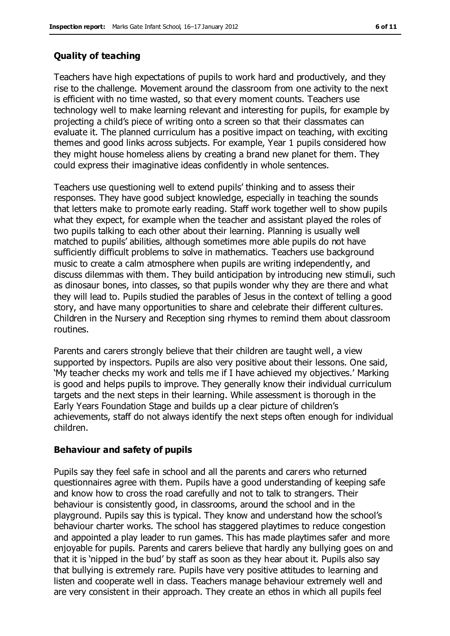#### **Quality of teaching**

Teachers have high expectations of pupils to work hard and productively, and they rise to the challenge. Movement around the classroom from one activity to the next is efficient with no time wasted, so that every moment counts. Teachers use technology well to make learning relevant and interesting for pupils, for example by projecting a child's piece of writing onto a screen so that their classmates can evaluate it. The planned curriculum has a positive impact on teaching, with exciting themes and good links across subjects. For example, Year 1 pupils considered how they might house homeless aliens by creating a brand new planet for them. They could express their imaginative ideas confidently in whole sentences.

Teachers use questioning well to extend pupils' thinking and to assess their responses. They have good subject knowledge, especially in teaching the sounds that letters make to promote early reading. Staff work together well to show pupils what they expect, for example when the teacher and assistant played the roles of two pupils talking to each other about their learning. Planning is usually well matched to pupils' abilities, although sometimes more able pupils do not have sufficiently difficult problems to solve in mathematics. Teachers use background music to create a calm atmosphere when pupils are writing independently, and discuss dilemmas with them. They build anticipation by introducing new stimuli, such as dinosaur bones, into classes, so that pupils wonder why they are there and what they will lead to. Pupils studied the parables of Jesus in the context of telling a good story, and have many opportunities to share and celebrate their different cultures. Children in the Nursery and Reception sing rhymes to remind them about classroom routines.

Parents and carers strongly believe that their children are taught well, a view supported by inspectors. Pupils are also very positive about their lessons. One said, 'My teacher checks my work and tells me if I have achieved my objectives.' Marking is good and helps pupils to improve. They generally know their individual curriculum targets and the next steps in their learning. While assessment is thorough in the Early Years Foundation Stage and builds up a clear picture of children's achievements, staff do not always identify the next steps often enough for individual children.

#### **Behaviour and safety of pupils**

Pupils say they feel safe in school and all the parents and carers who returned questionnaires agree with them. Pupils have a good understanding of keeping safe and know how to cross the road carefully and not to talk to strangers. Their behaviour is consistently good, in classrooms, around the school and in the playground. Pupils say this is typical. They know and understand how the school's behaviour charter works. The school has staggered playtimes to reduce congestion and appointed a play leader to run games. This has made playtimes safer and more enjoyable for pupils. Parents and carers believe that hardly any bullying goes on and that it is 'nipped in the bud' by staff as soon as they hear about it. Pupils also say that bullying is extremely rare. Pupils have very positive attitudes to learning and listen and cooperate well in class. Teachers manage behaviour extremely well and are very consistent in their approach. They create an ethos in which all pupils feel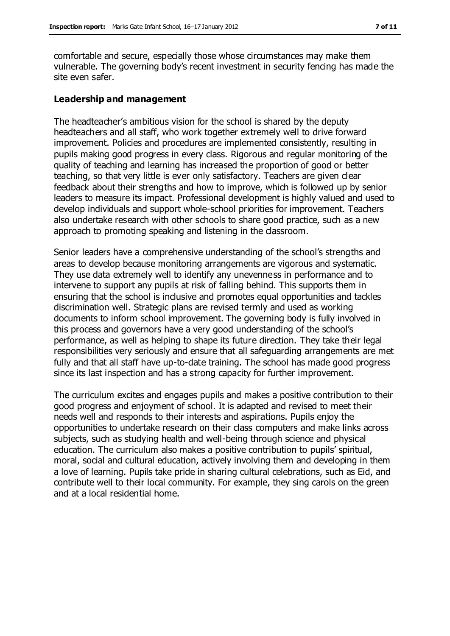comfortable and secure, especially those whose circumstances may make them vulnerable. The governing body's recent investment in security fencing has made the site even safer.

#### **Leadership and management**

The headteacher's ambitious vision for the school is shared by the deputy headteachers and all staff, who work together extremely well to drive forward improvement. Policies and procedures are implemented consistently, resulting in pupils making good progress in every class. Rigorous and regular monitoring of the quality of teaching and learning has increased the proportion of good or better teaching, so that very little is ever only satisfactory. Teachers are given clear feedback about their strengths and how to improve, which is followed up by senior leaders to measure its impact. Professional development is highly valued and used to develop individuals and support whole-school priorities for improvement. Teachers also undertake research with other schools to share good practice, such as a new approach to promoting speaking and listening in the classroom.

Senior leaders have a comprehensive understanding of the school's strengths and areas to develop because monitoring arrangements are vigorous and systematic. They use data extremely well to identify any unevenness in performance and to intervene to support any pupils at risk of falling behind. This supports them in ensuring that the school is inclusive and promotes equal opportunities and tackles discrimination well. Strategic plans are revised termly and used as working documents to inform school improvement. The governing body is fully involved in this process and governors have a very good understanding of the school's performance, as well as helping to shape its future direction. They take their legal responsibilities very seriously and ensure that all safeguarding arrangements are met fully and that all staff have up-to-date training. The school has made good progress since its last inspection and has a strong capacity for further improvement.

The curriculum excites and engages pupils and makes a positive contribution to their good progress and enjoyment of school. It is adapted and revised to meet their needs well and responds to their interests and aspirations. Pupils enjoy the opportunities to undertake research on their class computers and make links across subjects, such as studying health and well-being through science and physical education. The curriculum also makes a positive contribution to pupils' spiritual, moral, social and cultural education, actively involving them and developing in them a love of learning. Pupils take pride in sharing cultural celebrations, such as Eid, and contribute well to their local community. For example, they sing carols on the green and at a local residential home.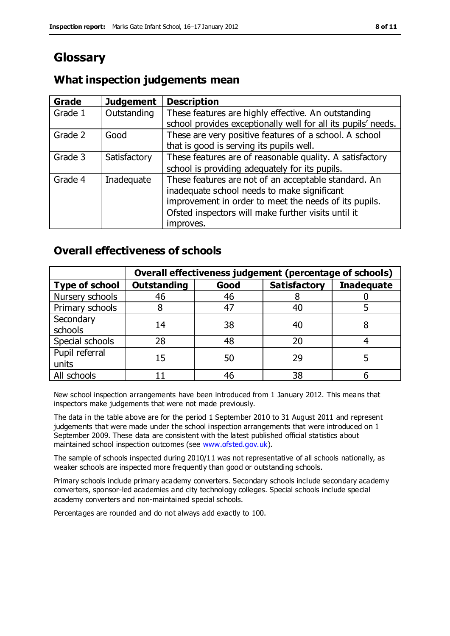### **Glossary**

### **What inspection judgements mean**

| Grade   | <b>Judgement</b> | <b>Description</b>                                            |
|---------|------------------|---------------------------------------------------------------|
| Grade 1 | Outstanding      | These features are highly effective. An outstanding           |
|         |                  | school provides exceptionally well for all its pupils' needs. |
| Grade 2 | Good             | These are very positive features of a school. A school        |
|         |                  | that is good is serving its pupils well.                      |
| Grade 3 | Satisfactory     | These features are of reasonable quality. A satisfactory      |
|         |                  | school is providing adequately for its pupils.                |
| Grade 4 | Inadequate       | These features are not of an acceptable standard. An          |
|         |                  | inadequate school needs to make significant                   |
|         |                  | improvement in order to meet the needs of its pupils.         |
|         |                  | Ofsted inspectors will make further visits until it           |
|         |                  | improves.                                                     |

### **Overall effectiveness of schools**

|                       | Overall effectiveness judgement (percentage of schools) |      |                     |                   |
|-----------------------|---------------------------------------------------------|------|---------------------|-------------------|
| <b>Type of school</b> | <b>Outstanding</b>                                      | Good | <b>Satisfactory</b> | <b>Inadequate</b> |
| Nursery schools       | 46                                                      | 46   |                     |                   |
| Primary schools       |                                                         | 47   | 40                  |                   |
| Secondary             | 14                                                      | 38   | 40                  |                   |
| schools               |                                                         |      |                     |                   |
| Special schools       | 28                                                      | 48   | 20                  |                   |
| Pupil referral        | 15                                                      | 50   | 29                  |                   |
| units                 |                                                         |      |                     |                   |
| All schools           |                                                         | 46   | 38                  |                   |

New school inspection arrangements have been introduced from 1 January 2012. This means that inspectors make judgements that were not made previously.

The data in the table above are for the period 1 September 2010 to 31 August 2011 and represent judgements that were made under the school inspection arrangements that were introduced on 1 September 2009. These data are consistent with the latest published official statistics about maintained school inspection outcomes (see [www.ofsted.gov.uk\)](http://www.ofsted.gov.uk/).

The sample of schools inspected during 2010/11 was not representative of all schools nationally, as weaker schools are inspected more frequently than good or outstanding schools.

Primary schools include primary academy converters. Secondary schools include secondary academy converters, sponsor-led academies and city technology colleges. Special schools include special academy converters and non-maintained special schools.

Percentages are rounded and do not always add exactly to 100.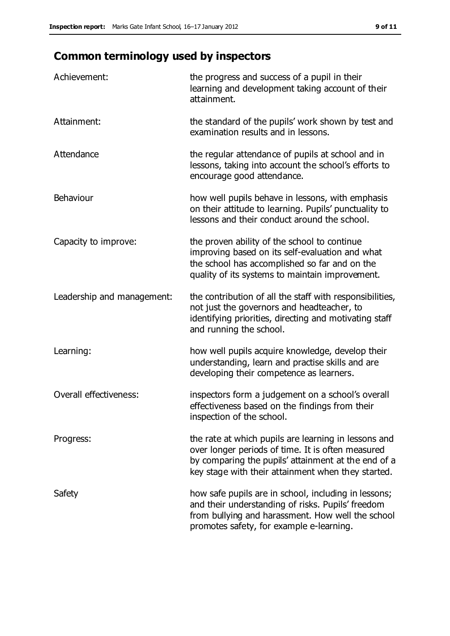## **Common terminology used by inspectors**

| Achievement:                  | the progress and success of a pupil in their<br>learning and development taking account of their<br>attainment.                                                                                                        |
|-------------------------------|------------------------------------------------------------------------------------------------------------------------------------------------------------------------------------------------------------------------|
| Attainment:                   | the standard of the pupils' work shown by test and<br>examination results and in lessons.                                                                                                                              |
| Attendance                    | the regular attendance of pupils at school and in<br>lessons, taking into account the school's efforts to<br>encourage good attendance.                                                                                |
| Behaviour                     | how well pupils behave in lessons, with emphasis<br>on their attitude to learning. Pupils' punctuality to<br>lessons and their conduct around the school.                                                              |
| Capacity to improve:          | the proven ability of the school to continue<br>improving based on its self-evaluation and what<br>the school has accomplished so far and on the<br>quality of its systems to maintain improvement.                    |
| Leadership and management:    | the contribution of all the staff with responsibilities,<br>not just the governors and headteacher, to<br>identifying priorities, directing and motivating staff<br>and running the school.                            |
| Learning:                     | how well pupils acquire knowledge, develop their<br>understanding, learn and practise skills and are<br>developing their competence as learners.                                                                       |
| <b>Overall effectiveness:</b> | inspectors form a judgement on a school's overall<br>effectiveness based on the findings from their<br>inspection of the school.                                                                                       |
| Progress:                     | the rate at which pupils are learning in lessons and<br>over longer periods of time. It is often measured<br>by comparing the pupils' attainment at the end of a<br>key stage with their attainment when they started. |
| Safety                        | how safe pupils are in school, including in lessons;<br>and their understanding of risks. Pupils' freedom<br>from bullying and harassment. How well the school<br>promotes safety, for example e-learning.             |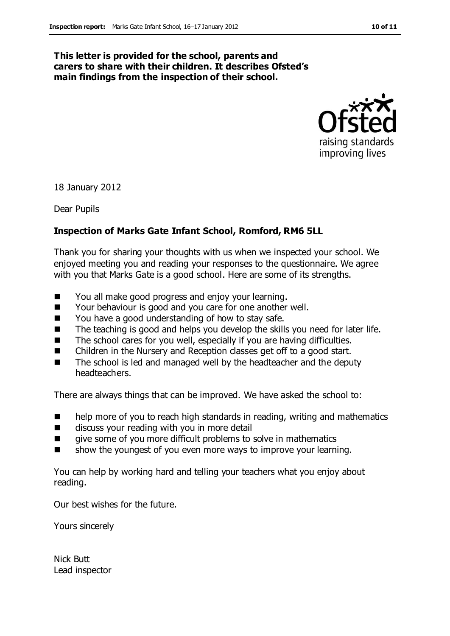#### **This letter is provided for the school, parents and carers to share with their children. It describes Ofsted's main findings from the inspection of their school.**



18 January 2012

Dear Pupils

#### **Inspection of Marks Gate Infant School, Romford, RM6 5LL**

Thank you for sharing your thoughts with us when we inspected your school. We enjoyed meeting you and reading your responses to the questionnaire. We agree with you that Marks Gate is a good school. Here are some of its strengths.

- You all make good progress and enjoy your learning.
- Your behaviour is good and you care for one another well.
- You have a good understanding of how to stay safe.
- The teaching is good and helps you develop the skills you need for later life.
- The school cares for you well, especially if you are having difficulties.
- Children in the Nursery and Reception classes get off to a good start.
- The school is led and managed well by the headteacher and the deputy headteachers.

There are always things that can be improved. We have asked the school to:

- help more of you to reach high standards in reading, writing and mathematics
- discuss your reading with you in more detail
- give some of you more difficult problems to solve in mathematics
- show the youngest of you even more ways to improve your learning.

You can help by working hard and telling your teachers what you enjoy about reading.

Our best wishes for the future.

Yours sincerely

Nick Butt Lead inspector